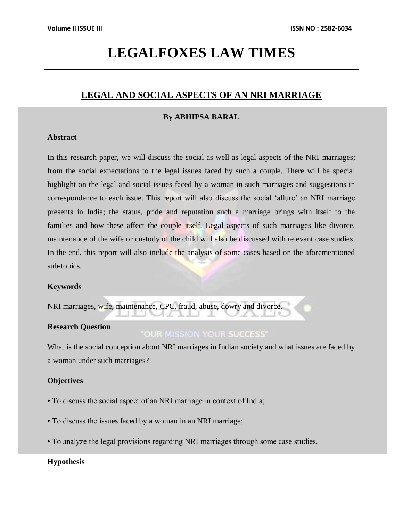# **LEGALFOXES LAW TIMES**

# **LEGAL AND SOCIAL ASPECTS OF AN NRI MARRIAGE**

# **By ABHIPSA BARAL**

# **Abstract**

In this research paper, we will discuss the social as well as legal aspects of the NRI marriages; from the social expectations to the legal issues faced by such a couple. There will be special highlight on the legal and social issues faced by a woman in such marriages and suggestions in correspondence to each issue. This report will also discuss the social 'allure' an NRI marriage presents in India; the status, pride and reputation such a marriage brings with itself to the families and how these affect the couple itself. Legal aspects of such marriages like divorce, maintenance of the wife or custody of the child will also be discussed with relevant case studies. In the end, this report will also include the analysis of some cases based on the aforementioned sub-topics.

# **Keywords**

NRI marriages, wife, maintenance, CPC, fraud, abuse, dowry and divorce.

# **Research Question**

# OUR MISSION YOUR SUCCESS'

What is the social conception about NRI marriages in Indian society and what issues are faced by a woman under such marriages?

# **Objectives**

- To discuss the social aspect of an NRI marriage in context of India;
- To discuss the issues faced by a woman in an NRI marriage;
- To analyze the legal provisions regarding NRI marriages through some case studies.

# **Hypothesis**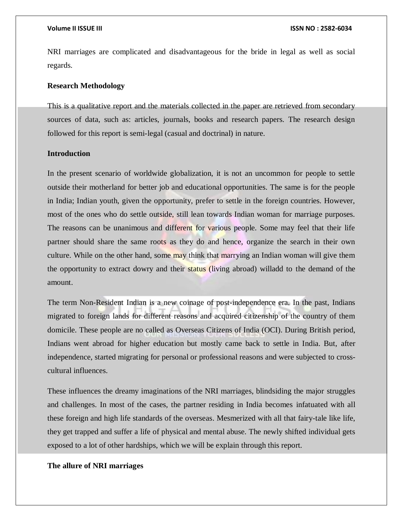NRI marriages are complicated and disadvantageous for the bride in legal as well as social regards.

### **Research Methodology**

This is a qualitative report and the materials collected in the paper are retrieved from secondary sources of data, such as: articles, journals, books and research papers. The research design followed for this report is semi-legal (casual and doctrinal) in nature.

# **Introduction**

In the present scenario of worldwide globalization, it is not an uncommon for people to settle outside their motherland for better job and educational opportunities. The same is for the people in India; Indian youth, given the opportunity, prefer to settle in the foreign countries. However, most of the ones who do settle outside, still lean towards Indian woman for marriage purposes. The reasons can be unanimous and different for various people. Some may feel that their life partner should share the same roots as they do and hence, organize the search in their own culture. While on the other hand, some may think that marrying an Indian woman will give them the opportunity to extract dowry and their status (living abroad) willadd to the demand of the amount.

The term Non-Resident Indian is a new coinage of post-independence era. In the past, Indians migrated to foreign lands for different reasons and acquired citizenship of the country of them domicile. These people are no called as Overseas Citizens of India (OCI). During British period, Indians went abroad for higher education but mostly came back to settle in India. But, after independence, started migrating for personal or professional reasons and were subjected to crosscultural influences.

These influences the dreamy imaginations of the NRI marriages, blindsiding the major struggles and challenges. In most of the cases, the partner residing in India becomes infatuated with all these foreign and high life standards of the overseas. Mesmerized with all that fairy-tale like life, they get trapped and suffer a life of physical and mental abuse. The newly shifted individual gets exposed to a lot of other hardships, which we will be explain through this report.

# **The allure of NRI marriages**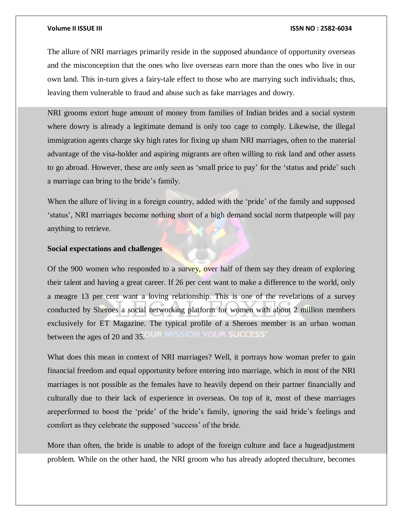The allure of NRI marriages primarily reside in the supposed abundance of opportunity overseas and the misconception that the ones who live overseas earn more than the ones who live in our own land. This in-turn gives a fairy-tale effect to those who are marrying such individuals; thus, leaving them vulnerable to fraud and abuse such as fake marriages and dowry.

NRI grooms extort huge amount of money from families of Indian brides and a social system where dowry is already a legitimate demand is only too cage to comply. Likewise, the illegal immigration agents charge sky high rates for fixing up sham NRI marriages, often to the material advantage of the visa-holder and aspiring migrants are often willing to risk land and other assets to go abroad. However, these are only seen as 'small price to pay' for the 'status and pride' such a marriage can bring to the bride's family.

When the allure of living in a foreign country, added with the 'pride' of the family and supposed 'status', NRI marriages become nothing short of a high demand social norm thatpeople will pay anything to retrieve.

# **Social expectations and challenges**

Of the 900 women who responded to a survey, over half of them say they dream of exploring their talent and having a great career. If 26 per cent want to make a difference to the world, only a meagre 13 per cent want a loving relationship. This is one of the revelations of a survey conducted by Sheroes a social networking platform for women with about 2 million members exclusively for ET Magazine. The typical profile of a Sheroes member is an urban woman between the ages of 20 and 35.

What does this mean in context of NRI marriages? Well, it portrays how woman prefer to gain financial freedom and equal opportunity before entering into marriage, which in most of the NRI marriages is not possible as the females have to heavily depend on their partner financially and culturally due to their lack of experience in overseas. On top of it, most of these marriages areperformed to boost the 'pride' of the bride's family, ignoring the said bride's feelings and comfort as they celebrate the supposed 'success' of the bride.

More than often, the bride is unable to adopt of the foreign culture and face a hugeadjustment problem. While on the other hand, the NRI groom who has already adopted theculture, becomes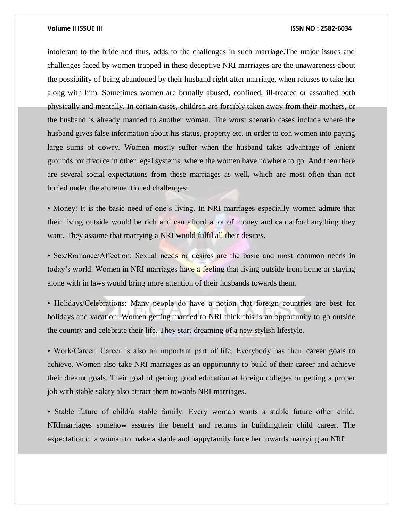intolerant to the bride and thus, adds to the challenges in such marriage.The major issues and challenges faced by women trapped in these deceptive NRI marriages are the unawareness about the possibility of being abandoned by their husband right after marriage, when refuses to take her along with him. Sometimes women are brutally abused, confined, ill-treated or assaulted both physically and mentally. In certain cases, children are forcibly taken away from their mothers, or the husband is already married to another woman. The worst scenario cases include where the husband gives false information about his status, property etc. in order to con women into paying large sums of dowry. Women mostly suffer when the husband takes advantage of lenient grounds for divorce in other legal systems, where the women have nowhere to go. And then there are several social expectations from these marriages as well, which are most often than not buried under the aforementioned challenges:

• Money: It is the basic need of one's living. In NRI marriages especially women admire that their living outside would be rich and can afford a lot of money and can afford anything they want. They assume that marrying a NRI would fulfil all their desires.

• Sex/Romance/Affection: Sexual needs or desires are the basic and most common needs in today's world. Women in NRI marriages have a feeling that living outside from home or staying alone with in laws would bring more attention of their husbands towards them.

• Holidays/Celebrations: Many people do have a notion that foreign countries are best for holidays and vacation. Women getting married to NRI think this is an opportunity to go outside the country and celebrate their life. They start dreaming of a new stylish lifestyle.

• Work/Career: Career is also an important part of life. Everybody has their career goals to achieve. Women also take NRI marriages as an opportunity to build of their career and achieve their dreamt goals. Their goal of getting good education at foreign colleges or getting a proper job with stable salary also attract them towards NRI marriages.

• Stable future of child/a stable family: Every woman wants a stable future ofher child. NRImarriages somehow assures the benefit and returns in buildingtheir child career. The expectation of a woman to make a stable and happyfamily force her towards marrying an NRI.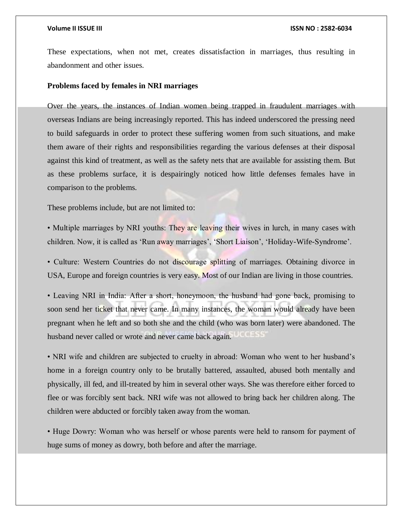These expectations, when not met, creates dissatisfaction in marriages, thus resulting in abandonment and other issues.

### **Problems faced by females in NRI marriages**

Over the years, the instances of Indian women being trapped in fraudulent marriages with overseas Indians are being increasingly reported. This has indeed underscored the pressing need to build safeguards in order to protect these suffering women from such situations, and make them aware of their rights and responsibilities regarding the various defenses at their disposal against this kind of treatment, as well as the safety nets that are available for assisting them. But as these problems surface, it is despairingly noticed how little defenses females have in comparison to the problems.

These problems include, but are not limited to:

• Multiple marriages by NRI youths: They are leaving their wives in lurch, in many cases with children. Now, it is called as 'Run away marriages', 'Short Liaison', 'Holiday-Wife-Syndrome'.

• Culture: Western Countries do not discourage splitting of marriages. Obtaining divorce in USA, Europe and foreign countries is very easy. Most of our Indian are living in those countries.

• Leaving NRI in India: After a short, honeymoon, the husband had gone back, promising to soon send her ticket that never came. In many instances, the woman would already have been pregnant when he left and so both she and the child (who was born later) were abandoned. The husband never called or wrote and never came back again. 0.0555

• NRI wife and children are subjected to cruelty in abroad: Woman who went to her husband's home in a foreign country only to be brutally battered, assaulted, abused both mentally and physically, ill fed, and ill-treated by him in several other ways. She was therefore either forced to flee or was forcibly sent back. NRI wife was not allowed to bring back her children along. The children were abducted or forcibly taken away from the woman.

• Huge Dowry: Woman who was herself or whose parents were held to ransom for payment of huge sums of money as dowry, both before and after the marriage.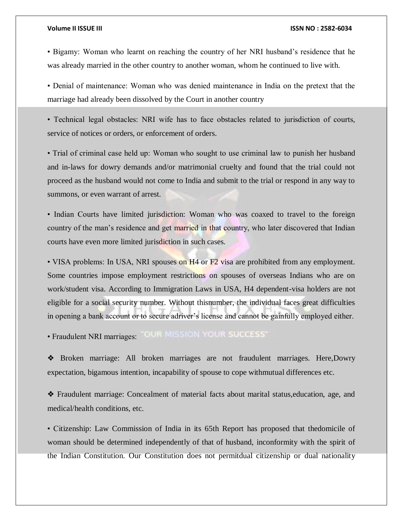• Bigamy: Woman who learnt on reaching the country of her NRI husband's residence that he was already married in the other country to another woman, whom he continued to live with.

• Denial of maintenance: Woman who was denied maintenance in India on the pretext that the marriage had already been dissolved by the Court in another country

• Technical legal obstacles: NRI wife has to face obstacles related to jurisdiction of courts, service of notices or orders, or enforcement of orders.

• Trial of criminal case held up: Woman who sought to use criminal law to punish her husband and in-laws for dowry demands and/or matrimonial cruelty and found that the trial could not proceed as the husband would not come to India and submit to the trial or respond in any way to summons, or even warrant of arrest.

• Indian Courts have limited jurisdiction: Woman who was coaxed to travel to the foreign country of the man's residence and get married in that country, who later discovered that Indian courts have even more limited jurisdiction in such cases.

• VISA problems: In USA, NRI spouses on H4 or F2 visa are prohibited from any employment. Some countries impose employment restrictions on spouses of overseas Indians who are on work/student visa. According to Immigration Laws in USA, H4 dependent-visa holders are not eligible for a social security number. Without thisnumber, the individual faces great difficulties in opening a bank account or to secure adriver's license and cannot be gainfully employed either.

· Fraudulent NRI marriages: "OUR MISSION YOUR SUCCESS"

❖ Broken marriage: All broken marriages are not fraudulent marriages. Here,Dowry expectation, bigamous intention, incapability of spouse to cope withmutual differences etc.

❖ Fraudulent marriage: Concealment of material facts about marital status,education, age, and medical/health conditions, etc.

• Citizenship: Law Commission of India in its 65th Report has proposed that thedomicile of woman should be determined independently of that of husband, inconformity with the spirit of the Indian Constitution. Our Constitution does not permitdual citizenship or dual nationality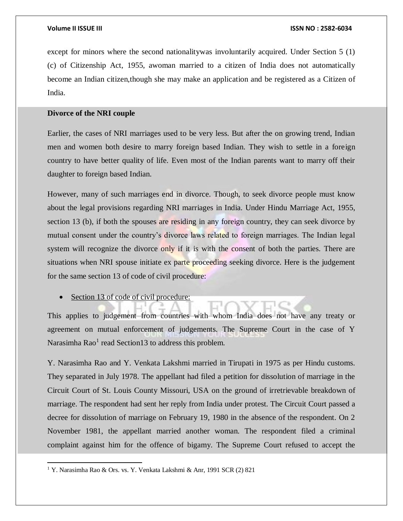except for minors where the second nationalitywas involuntarily acquired. Under Section 5 (1) (c) of Citizenship Act, 1955, awoman married to a citizen of India does not automatically become an Indian citizen,though she may make an application and be registered as a Citizen of India.

# **Divorce of the NRI couple**

Earlier, the cases of NRI marriages used to be very less. But after the on growing trend, Indian men and women both desire to marry foreign based Indian. They wish to settle in a foreign country to have better quality of life. Even most of the Indian parents want to marry off their daughter to foreign based Indian.

However, many of such marriages end in divorce. Though, to seek divorce people must know about the legal provisions regarding NRI marriages in India. Under Hindu Marriage Act, 1955, section 13 (b), if both the spouses are residing in any foreign country, they can seek divorce by mutual consent under the country's divorce laws related to foreign marriages. The Indian legal system will recognize the divorce only if it is with the consent of both the parties. There are situations when NRI spouse initiate ex parte proceeding seeking divorce. Here is the judgement for the same section 13 of code of civil procedure:

• Section 13 of code of civil procedure:

This applies to judgement from countries with whom India does not have any treaty or agreement on mutual enforcement of judgements. The Supreme Court in the case of Y Narasimha Rao<sup>1</sup> read Section13 to address this problem.

Y. Narasimha Rao and Y. Venkata Lakshmi married in Tirupati in 1975 as per Hindu customs. They separated in July 1978. The appellant had filed a petition for dissolution of marriage in the Circuit Court of St. Louis County Missouri, USA on the ground of irretrievable breakdown of marriage. The respondent had sent her reply from India under protest. The Circuit Court passed a decree for dissolution of marriage on February 19, 1980 in the absence of the respondent. On 2 November 1981, the appellant married another woman. The respondent filed a criminal complaint against him for the offence of bigamy. The Supreme Court refused to accept the

 $\overline{a}$ 

<sup>1</sup> Y. Narasimha Rao & Ors. vs. Y. Venkata Lakshmi & Anr, 1991 SCR (2) 821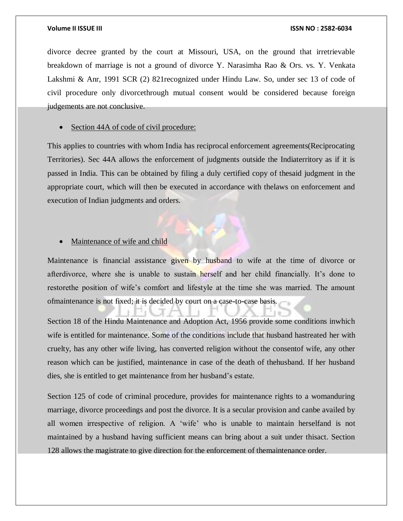divorce decree granted by the court at Missouri, USA, on the ground that irretrievable breakdown of marriage is not a ground of divorce Y. Narasimha Rao & Ors. vs. Y. Venkata Lakshmi & Anr, 1991 SCR (2) 821recognized under Hindu Law. So, under sec 13 of code of civil procedure only divorcethrough mutual consent would be considered because foreign judgements are not conclusive.

Section 44A of code of civil procedure:

This applies to countries with whom India has reciprocal enforcement agreements(Reciprocating Territories). Sec 44A allows the enforcement of judgments outside the Indiaterritory as if it is passed in India. This can be obtained by filing a duly certified copy of thesaid judgment in the appropriate court, which will then be executed in accordance with thelaws on enforcement and execution of Indian judgments and orders.

### • Maintenance of wife and child

Maintenance is financial assistance given by husband to wife at the time of divorce or afterdivorce, where she is unable to sustain herself and her child financially. It's done to restorethe position of wife's comfort and lifestyle at the time she was married. The amount ofmaintenance is not fixed; it is decided by court on a case-to-case basis.

Section 18 of the Hindu Maintenance and Adoption Act, 1956 provide some conditions inwhich wife is entitled for maintenance. Some of the conditions include that husband hastreated her with cruelty, has any other wife living, has converted religion without the consentof wife, any other reason which can be justified, maintenance in case of the death of thehusband. If her husband dies, she is entitled to get maintenance from her husband's estate.

Section 125 of code of criminal procedure, provides for maintenance rights to a womanduring marriage, divorce proceedings and post the divorce. It is a secular provision and canbe availed by all women irrespective of religion. A 'wife' who is unable to maintain herselfand is not maintained by a husband having sufficient means can bring about a suit under thisact. Section 128 allows the magistrate to give direction for the enforcement of themaintenance order.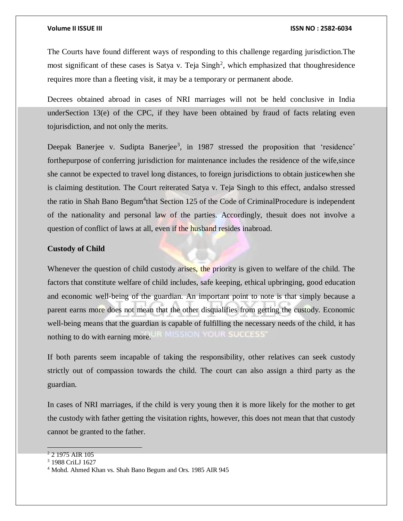The Courts have found different ways of responding to this challenge regarding jurisdiction.The most significant of these cases is Satya v. Teja Singh<sup>2</sup>, which emphasized that thoughresidence requires more than a fleeting visit, it may be a temporary or permanent abode.

Decrees obtained abroad in cases of NRI marriages will not be held conclusive in India underSection 13(e) of the CPC, if they have been obtained by fraud of facts relating even tojurisdiction, and not only the merits.

Deepak Banerjee v. Sudipta Banerjee<sup>3</sup>, in 1987 stressed the proposition that 'residence' forthepurpose of conferring jurisdiction for maintenance includes the residence of the wife,since she cannot be expected to travel long distances, to foreign jurisdictions to obtain justicewhen she is claiming destitution. The Court reiterated Satya v. Teja Singh to this effect, andalso stressed the ratio in Shah Bano Begum<sup>4</sup>that Section 125 of the Code of CriminalProcedure is independent of the nationality and personal law of the parties. Accordingly, thesuit does not involve a question of conflict of laws at all, even if the husband resides inabroad.

# **Custody of Child**

Whenever the question of child custody arises, the priority is given to welfare of the child. The factors that constitute welfare of child includes, safe keeping, ethical upbringing, good education and economic well-being of the guardian. An important point to note is that simply because a parent earns more does not mean that the other disqualifies from getting the custody. Economic well-being means that the guardian is capable of fulfilling the necessary needs of the child, it has 87800555 nothing to do with earning more.

If both parents seem incapable of taking the responsibility, other relatives can seek custody strictly out of compassion towards the child. The court can also assign a third party as the guardian.

In cases of NRI marriages, if the child is very young then it is more likely for the mother to get the custody with father getting the visitation rights, however, this does not mean that that custody cannot be granted to the father.

 $2$  2 1975 AIR 105

<sup>3</sup> 1988 CriLJ 1627

<sup>4</sup> Mohd. Ahmed Khan vs. Shah Bano Begum and Ors. 1985 AIR 945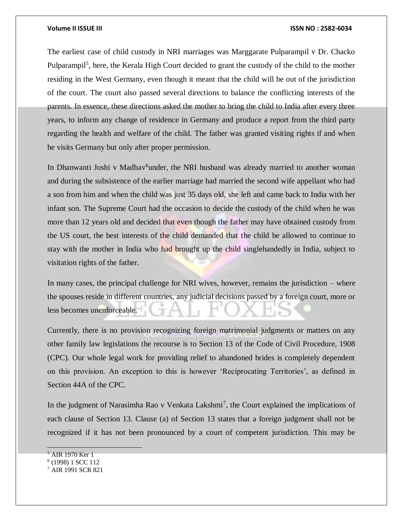The earliest case of child custody in NRI marriages was Marggarate Pulparampil v Dr. Chacko Pulparampil<sup>5</sup>, here, the Kerala High Court decided to grant the custody of the child to the mother residing in the West Germany, even though it meant that the child will be out of the jurisdiction of the court. The court also passed several directions to balance the conflicting interests of the parents. In essence, these directions asked the mother to bring the child to India after every three years, to inform any change of residence in Germany and produce a report from the third party regarding the health and welfare of the child. The father was granted visiting rights if and when he visits Germany but only after proper permission.

In Dhanwanti Joshi v Madhav<sup>6</sup>under, the NRI husband was already married to another woman and during the subsistence of the earlier marriage had married the second wife appellant who had a son from him and when the child was just 35 days old, she left and came back to India with her infant son. The Supreme Court had the occasion to decide the custody of the child when he was more than 12 years old and decided that even though the father may have obtained custody from the US court, the best interests of the child demanded that the child be allowed to continue to stay with the mother in India who had brought up the child singlehandedly in India, subject to visitation rights of the father.

In many cases, the principal challenge for NRI wives, however, remains the jurisdiction – where the spouses reside in different countries, any judicial decisions passed by a foreign court, more or less becomes unenforceable.

Currently, there is no provision recognizing foreign matrimonial judgments or matters on any other family law legislations the recourse is to Section 13 of the Code of Civil Procedure, 1908 (CPC). Our whole legal work for providing relief to abandoned brides is completely dependent on this provision. An exception to this is however 'Reciprocating Territories', as defined in Section 44A of the CPC.

In the judgment of Narasimha Rao v Venkata Lakshmi<sup>7</sup>, the Court explained the implications of each clause of Section 13. Clause (a) of Section 13 states that a foreign judgment shall not be recognized if it has not been pronounced by a court of competent jurisdiction. This may be

<sup>5</sup> AIR 1970 Ker 1

<sup>6</sup> (1998) 1 SCC 112

<sup>7</sup> AIR 1991 SCR 821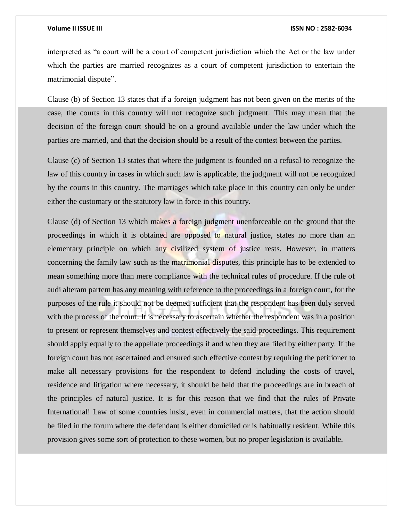interpreted as "a court will be a court of competent jurisdiction which the Act or the law under which the parties are married recognizes as a court of competent jurisdiction to entertain the matrimonial dispute".

Clause (b) of Section 13 states that if a foreign judgment has not been given on the merits of the case, the courts in this country will not recognize such judgment. This may mean that the decision of the foreign court should be on a ground available under the law under which the parties are married, and that the decision should be a result of the contest between the parties.

Clause (c) of Section 13 states that where the judgment is founded on a refusal to recognize the law of this country in cases in which such law is applicable, the judgment will not be recognized by the courts in this country. The marriages which take place in this country can only be under either the customary or the statutory law in force in this country.

Clause (d) of Section 13 which makes a foreign judgment unenforceable on the ground that the proceedings in which it is obtained are opposed to natural justice, states no more than an elementary principle on which any civilized system of justice rests. However, in matters concerning the family law such as the matrimonial disputes, this principle has to be extended to mean something more than mere compliance with the technical rules of procedure. If the rule of audi alteram partem has any meaning with reference to the proceedings in a foreign court, for the purposes of the rule it should not be deemed sufficient that the respondent has been duly served with the process of the court. It is necessary to ascertain whether the respondent was in a position to present or represent themselves and contest effectively the said proceedings. This requirement should apply equally to the appellate proceedings if and when they are filed by either party. If the foreign court has not ascertained and ensured such effective contest by requiring the petitioner to make all necessary provisions for the respondent to defend including the costs of travel, residence and litigation where necessary, it should be held that the proceedings are in breach of the principles of natural justice. It is for this reason that we find that the rules of Private International! Law of some countries insist, even in commercial matters, that the action should be filed in the forum where the defendant is either domiciled or is habitually resident. While this provision gives some sort of protection to these women, but no proper legislation is available.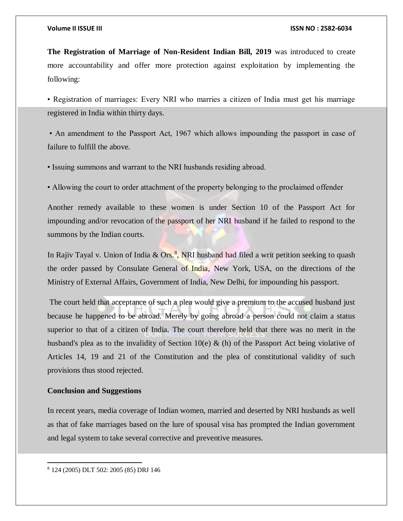**The Registration of Marriage of Non-Resident Indian Bill, 2019** was introduced to create more accountability and offer more protection against exploitation by implementing the following:

• Registration of marriages: Every NRI who marries a citizen of India must get his marriage registered in India within thirty days.

• An amendment to the Passport Act, 1967 which allows impounding the passport in case of failure to fulfill the above.

• Issuing summons and warrant to the NRI husbands residing abroad.

• Allowing the court to order attachment of the property belonging to the proclaimed offender

Another remedy available to these women is under Section 10 of the Passport Act for impounding and/or revocation of the passport of her NRI husband if he failed to respond to the summons by the Indian courts.

In Rajiv Tayal v. Union of India & Ors.<sup>8</sup>, NRI husband had filed a writ petition seeking to quash the order passed by Consulate General of India, New York, USA, on the directions of the Ministry of External Affairs, Government of India, New Delhi, for impounding his passport.

The court held that acceptance of such a plea would give a premium to the accused husband just because he happened to be abroad. Merely by going abroad a person could not claim a status superior to that of a citizen of India. The court therefore held that there was no merit in the husband's plea as to the invalidity of Section 10(e) & (h) of the Passport Act being violative of Articles 14, 19 and 21 of the Constitution and the plea of constitutional validity of such provisions thus stood rejected.

# **Conclusion and Suggestions**

In recent years, media coverage of Indian women, married and deserted by NRI husbands as well as that of fake marriages based on the lure of spousal visa has prompted the Indian government and legal system to take several corrective and preventive measures.

 $\overline{a}$ 

<sup>8</sup> 124 (2005) DLT 502: 2005 (85) DRJ 146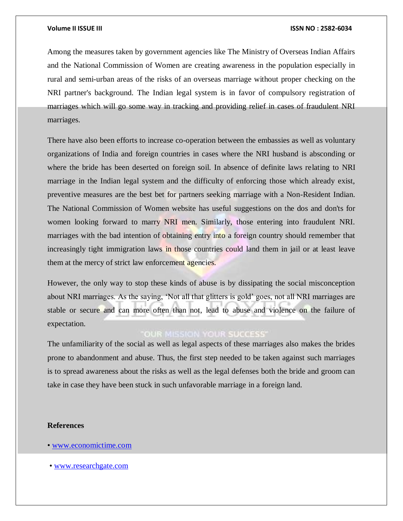Among the measures taken by government agencies like The Ministry of Overseas Indian Affairs and the National Commission of Women are creating awareness in the population especially in rural and semi-urban areas of the risks of an overseas marriage without proper checking on the NRI partner's background. The Indian legal system is in favor of compulsory registration of marriages which will go some way in tracking and providing relief in cases of fraudulent NRI marriages.

There have also been efforts to increase co-operation between the embassies as well as voluntary organizations of India and foreign countries in cases where the NRI husband is absconding or where the bride has been deserted on foreign soil. In absence of definite laws relating to NRI marriage in the Indian legal system and the difficulty of enforcing those which already exist, preventive measures are the best bet for partners seeking marriage with a Non-Resident Indian. The National Commission of Women website has useful suggestions on the dos and don'ts for women looking forward to marry NRI men. Similarly, those entering into fraudulent NRI. marriages with the bad intention of obtaining entry into a foreign country should remember that increasingly tight immigration laws in those countries could land them in jail or at least leave them at the mercy of strict law enforcement agencies.

However, the only way to stop these kinds of abuse is by dissipating the social misconception about NRI marriages. As the saying, 'Not all that glitters is gold' goes, not all NRI marriages are stable or secure and can more often than not, lead to abuse and violence on the failure of expectation.

# **OUR MISSION YOUR SUCCESS'**

The unfamiliarity of the social as well as legal aspects of these marriages also makes the brides prone to abandonment and abuse. Thus, the first step needed to be taken against such marriages is to spread awareness about the risks as well as the legal defenses both the bride and groom can take in case they have been stuck in such unfavorable marriage in a foreign land.

### **References**

- • [www.economictime.com](http://www.economictime.com/)
- • [www.researchgate.com](http://www.researchgate.com/)